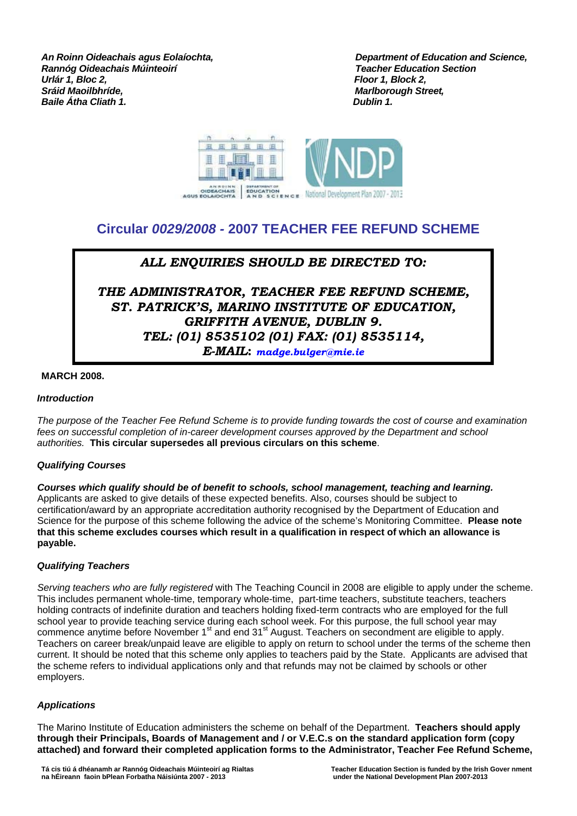*Rannóg Oideachais Múinteoirí<br>Urlár 1. Bloc 2.* **Sráid Maoilbhríde, chogair is chogair is chogair is chogair is an t-ainmeile an t-ainmeile an t-ainmeile an t-<br>Baile Átha Cliath 1. Baile Átha Cliath 1.** 

**An Roinn Oideachais agus Eolaíochta,** *Department of Education and Science,**Department of Education and Science,**Rannóg Oideachais Múinteoirí Floor 1, Block 2,* 



# **Circular** *0029/2008 -* **2007 TEACHER FEE REFUND SCHEME**

## *ALL ENQUIRIES SHOULD BE DIRECTED TO:*

*THE ADMINISTRATOR, TEACHER FEE REFUND SCHEME, ST. PATRICK'S, MARINO INSTITUTE OF EDUCATION, GRIFFITH AVENUE, DUBLIN 9. TEL: (01) 8535102 (01) FAX: (01) 8535114, E-MAIL***:** *[madge.bulger@mie.ie](mailto:madge.bulger@mie.ie)*

## **MARCH 2008.**

## *Introduction*

*The purpose of the Teacher Fee Refund Scheme is to provide funding towards the cost of course and examination fees on successful completion of in-career development courses approved by the Department and school authorities.* **This circular supersedes all previous circulars on this scheme**.

## *Qualifying Courses*

*Courses which qualify should be of benefit to schools, school management, teaching and learning.* Applicants are asked to give details of these expected benefits. Also, courses should be subject to certification/award by an appropriate accreditation authority recognised by the Department of Education and Science for the purpose of this scheme following the advice of the scheme's Monitoring Committee. **Please note that this scheme excludes courses which result in a qualification in respect of which an allowance is payable.**

## *Qualifying Teachers*

*Serving teachers who are fully registered* with The Teaching Council in 2008 are eligible to apply under the scheme. This includes permanent whole-time, temporary whole-time, part-time teachers, substitute teachers, teachers holding contracts of indefinite duration and teachers holding fixed-term contracts who are employed for the full school year to provide teaching service during each school week. For this purpose, the full school year may commence anytime before November 1<sup>st</sup> and end 31<sup>st</sup> August. Teachers on secondment are eligible to apply. Teachers on career break/unpaid leave are eligible to apply on return to school under the terms of the scheme then current. It should be noted that this scheme only applies to teachers paid by the State. Applicants are advised that the scheme refers to individual applications only and that refunds may not be claimed by schools or other employers.

## *Applications*

The Marino Institute of Education administers the scheme on behalf of the Department. **Teachers should apply through their Principals, Boards of Management and / or V.E.C.s on the standard application form (copy attached) and forward their completed application forms to the Administrator, Teacher Fee Refund Scheme,**